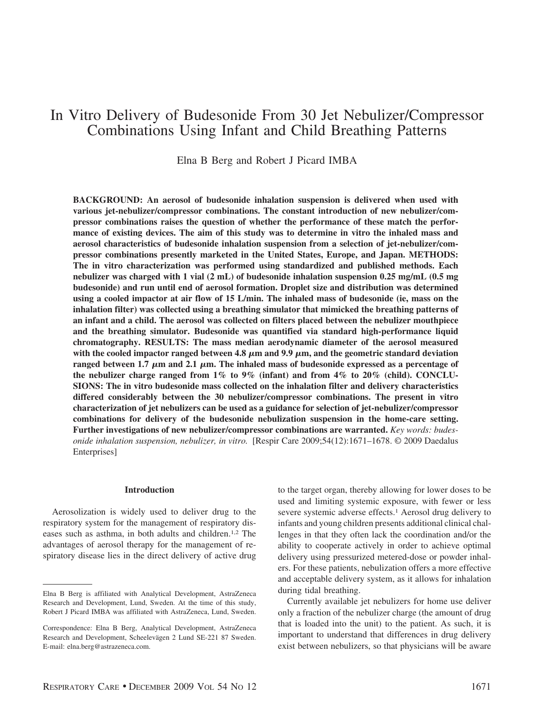# In Vitro Delivery of Budesonide From 30 Jet Nebulizer/Compressor Combinations Using Infant and Child Breathing Patterns

Elna B Berg and Robert J Picard IMBA

**BACKGROUND: An aerosol of budesonide inhalation suspension is delivered when used with various jet-nebulizer/compressor combinations. The constant introduction of new nebulizer/compressor combinations raises the question of whether the performance of these match the performance of existing devices. The aim of this study was to determine in vitro the inhaled mass and aerosol characteristics of budesonide inhalation suspension from a selection of jet-nebulizer/compressor combinations presently marketed in the United States, Europe, and Japan. METHODS: The in vitro characterization was performed using standardized and published methods. Each nebulizer was charged with 1 vial (2 mL) of budesonide inhalation suspension 0.25 mg/mL (0.5 mg budesonide) and run until end of aerosol formation. Droplet size and distribution was determined using a cooled impactor at air flow of 15 L/min. The inhaled mass of budesonide (ie, mass on the inhalation filter) was collected using a breathing simulator that mimicked the breathing patterns of an infant and a child. The aerosol was collected on filters placed between the nebulizer mouthpiece and the breathing simulator. Budesonide was quantified via standard high-performance liquid chromatography. RESULTS: The mass median aerodynamic diameter of the aerosol measured** with the cooled impactor ranged between 4.8  $\mu$ m and 9.9  $\mu$ m, and the geometric standard deviation **ranged between 1.7**  $\mu$ m and 2.1  $\mu$ m. The inhaled mass of budesonide expressed as a percentage of **the nebulizer charge ranged from 1% to 9% (infant) and from 4% to 20% (child). CONCLU-SIONS: The in vitro budesonide mass collected on the inhalation filter and delivery characteristics differed considerably between the 30 nebulizer/compressor combinations. The present in vitro characterization of jet nebulizers can be used as a guidance for selection of jet-nebulizer/compressor combinations for delivery of the budesonide nebulization suspension in the home-care setting. Further investigations of new nebulizer/compressor combinations are warranted.** *Key words: budesonide inhalation suspension, nebulizer, in vitro.* [Respir Care 2009;54(12):1671–1678. © 2009 Daedalus Enterprises]

### **Introduction**

Aerosolization is widely used to deliver drug to the respiratory system for the management of respiratory diseases such as asthma, in both adults and children.1,2 The advantages of aerosol therapy for the management of respiratory disease lies in the direct delivery of active drug

to the target organ, thereby allowing for lower doses to be used and limiting systemic exposure, with fewer or less severe systemic adverse effects.<sup>1</sup> Aerosol drug delivery to infants and young children presents additional clinical challenges in that they often lack the coordination and/or the ability to cooperate actively in order to achieve optimal delivery using pressurized metered-dose or powder inhalers. For these patients, nebulization offers a more effective and acceptable delivery system, as it allows for inhalation during tidal breathing.

Currently available jet nebulizers for home use deliver only a fraction of the nebulizer charge (the amount of drug that is loaded into the unit) to the patient. As such, it is important to understand that differences in drug delivery exist between nebulizers, so that physicians will be aware

Elna B Berg is affiliated with Analytical Development, AstraZeneca Research and Development, Lund, Sweden. At the time of this study, Robert J Picard IMBA was affiliated with AstraZeneca, Lund, Sweden.

Correspondence: Elna B Berg, Analytical Development, AstraZeneca Research and Development, Scheelevägen 2 Lund SE-221 87 Sweden. E-mail: elna.berg@astrazeneca.com.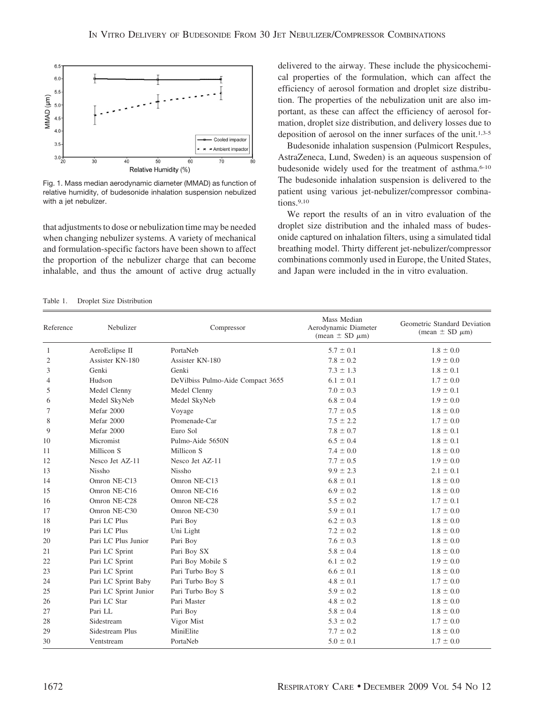

Fig. 1. Mass median aerodynamic diameter (MMAD) as function of relative humidity, of budesonide inhalation suspension nebulized with a jet nebulizer.

that adjustments to dose or nebulization time may be needed when changing nebulizer systems. A variety of mechanical and formulation-specific factors have been shown to affect the proportion of the nebulizer charge that can become inhalable, and thus the amount of active drug actually delivered to the airway. These include the physicochemical properties of the formulation, which can affect the efficiency of aerosol formation and droplet size distribution. The properties of the nebulization unit are also important, as these can affect the efficiency of aerosol formation, droplet size distribution, and delivery losses due to deposition of aerosol on the inner surfaces of the unit.1,3-5

Budesonide inhalation suspension (Pulmicort Respules, AstraZeneca, Lund, Sweden) is an aqueous suspension of budesonide widely used for the treatment of asthma.6-10 The budesonide inhalation suspension is delivered to the patient using various jet-nebulizer/compressor combinations.<sup>9,10</sup>

We report the results of an in vitro evaluation of the droplet size distribution and the inhaled mass of budesonide captured on inhalation filters, using a simulated tidal breathing model. Thirty different jet-nebulizer/compressor combinations commonly used in Europe, the United States, and Japan were included in the in vitro evaluation.

| Table 1. |  |  | Droplet Size Distribution |
|----------|--|--|---------------------------|
|----------|--|--|---------------------------|

| Reference      | Nebulizer             | Compressor                        | Mass Median<br>Aerodynamic Diameter<br>(mean $\pm$ SD $\mu$ m) | Geometric Standard Deviation<br>(mean $\pm$ SD $\mu$ m)<br>$1.8 \pm 0.0$ |  |
|----------------|-----------------------|-----------------------------------|----------------------------------------------------------------|--------------------------------------------------------------------------|--|
| 1              | AeroEclipse II        | PortaNeb                          | $5.7 \pm 0.1$                                                  |                                                                          |  |
| $\overline{2}$ | Assister KN-180       | Assister KN-180                   | $7.8 \pm 0.2$                                                  | $1.9 \pm 0.0$                                                            |  |
| 3              | Genki                 | Genki                             | $7.3 \pm 1.3$                                                  | $1.8 \pm 0.1$                                                            |  |
| 4              | Hudson                | DeVilbiss Pulmo-Aide Compact 3655 | $6.1 \pm 0.1$                                                  | $1.7 \pm 0.0$                                                            |  |
| 5              | Medel Clenny          | Medel Clenny                      | $7.0 \pm 0.3$                                                  | $1.9 \pm 0.1$                                                            |  |
| 6              | Medel SkyNeb          | Medel SkyNeb                      | $6.8 \pm 0.4$                                                  | $1.9 \pm 0.0$                                                            |  |
| 7              | Mefar 2000            | Voyage                            | $7.7 \pm 0.5$                                                  | $1.8 \pm 0.0$                                                            |  |
| 8              | Mefar 2000            | Promenade-Car                     | $7.5 \pm 2.2$                                                  | $1.7 \pm 0.0$                                                            |  |
| 9              | Mefar 2000            | Euro Sol                          | $7.8 \pm 0.7$                                                  | $1.8 \pm 0.1$                                                            |  |
| 10             | Micromist             | Pulmo-Aide 5650N                  | $6.5 \pm 0.4$                                                  | $1.8 \pm 0.1$                                                            |  |
| 11             | Millicon S            | Millicon S                        | $7.4 \pm 0.0$                                                  | $1.8 \pm 0.0$                                                            |  |
| 12             | Nesco Jet AZ-11       | Nesco Jet AZ-11                   | $7.7 \pm 0.5$                                                  | $1.9 \pm 0.0$                                                            |  |
| 13             | Nissho                | Nissho                            | $9.9 \pm 2.3$                                                  | $2.1 \pm 0.1$                                                            |  |
| 14             | Omron NE-C13          | Omron NE-C13                      | $6.8 \pm 0.1$                                                  | $1.8 \pm 0.0$                                                            |  |
| 15             | Omron NE-C16          | Omron NE-C16                      | $6.9 \pm 0.2$                                                  | $1.8 \pm 0.0$                                                            |  |
| 16             | Omron NE-C28          | Omron NE-C28                      | $5.5 \pm 0.2$                                                  | $1.7 \pm 0.1$                                                            |  |
| 17             | Omron NE-C30          | Omron NE-C30                      | $5.9 \pm 0.1$                                                  | $1.7 \pm 0.0$                                                            |  |
| 18             | Pari LC Plus          | Pari Boy                          | $6.2 \pm 0.3$                                                  | $1.8 \pm 0.0$                                                            |  |
| 19             | Pari LC Plus          | Uni Light                         | $7.2 \pm 0.2$                                                  | $1.8 \pm 0.0$                                                            |  |
| 20             | Pari LC Plus Junior   | Pari Boy                          | $7.6 \pm 0.3$                                                  | $1.8 \pm 0.0$                                                            |  |
| 21             | Pari LC Sprint        | Pari Boy SX                       | $5.8 \pm 0.4$                                                  | $1.8 \pm 0.0$                                                            |  |
| 22             | Pari LC Sprint        | Pari Boy Mobile S                 | $6.1 \pm 0.2$                                                  | $1.9 \pm 0.0$                                                            |  |
| 23             | Pari LC Sprint        | Pari Turbo Boy S                  | $6.6 \pm 0.1$                                                  | $1.8 \pm 0.0$                                                            |  |
| 24             | Pari LC Sprint Baby   | Pari Turbo Boy S                  | $4.8 \pm 0.1$                                                  | $1.7 \pm 0.0$                                                            |  |
| 25             | Pari LC Sprint Junior | Pari Turbo Boy S                  | $5.9 \pm 0.2$                                                  | $1.8 \pm 0.0$                                                            |  |
| 26             | Pari LC Star          | Pari Master                       | $4.8 \pm 0.2$                                                  | $1.8 \pm 0.0$                                                            |  |
| 27             | Pari LL               | Pari Boy                          | $5.8 \pm 0.4$                                                  | $1.8 \pm 0.0$                                                            |  |
| 28             | Sidestream            | Vigor Mist                        | $5.3 \pm 0.2$                                                  | $1.7 \pm 0.0$                                                            |  |
| 29             | Sidestream Plus       | MiniElite                         | $7.7 \pm 0.2$                                                  | $1.8 \pm 0.0$                                                            |  |
| 30             | Ventstream            | PortaNeb                          | $5.0 \pm 0.1$                                                  | $1.7 \pm 0.0$                                                            |  |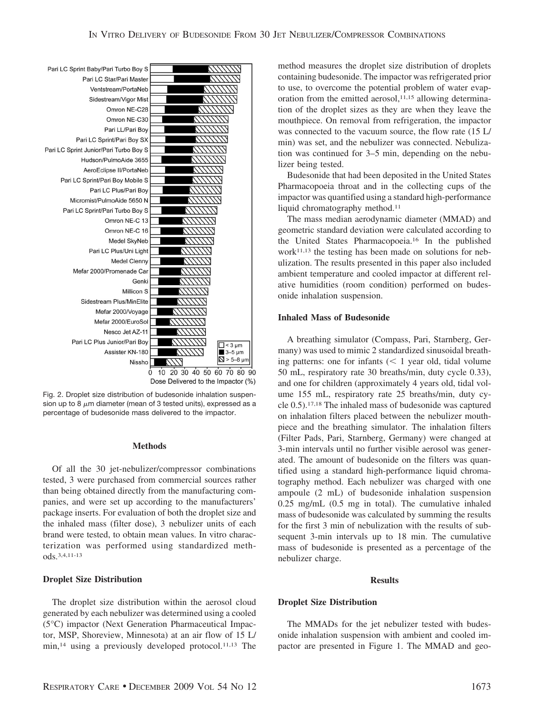

Fig. 2. Droplet size distribution of budesonide inhalation suspension up to 8  $\mu$ m diameter (mean of 3 tested units), expressed as a percentage of budesonide mass delivered to the impactor.

#### **Methods**

Of all the 30 jet-nebulizer/compressor combinations tested, 3 were purchased from commercial sources rather than being obtained directly from the manufacturing companies, and were set up according to the manufacturers' package inserts. For evaluation of both the droplet size and the inhaled mass (filter dose), 3 nebulizer units of each brand were tested, to obtain mean values. In vitro characterization was performed using standardized methods.3,4,11-13

# **Droplet Size Distribution**

The droplet size distribution within the aerosol cloud generated by each nebulizer was determined using a cooled (5°C) impactor (Next Generation Pharmaceutical Impactor, MSP, Shoreview, Minnesota) at an air flow of 15 L/ min,<sup>14</sup> using a previously developed protocol.<sup>11,13</sup> The

method measures the droplet size distribution of droplets containing budesonide. The impactor was refrigerated prior to use, to overcome the potential problem of water evaporation from the emitted aerosol, $11,15$  allowing determination of the droplet sizes as they are when they leave the mouthpiece. On removal from refrigeration, the impactor was connected to the vacuum source, the flow rate (15 L/ min) was set, and the nebulizer was connected. Nebulization was continued for 3–5 min, depending on the nebulizer being tested.

Budesonide that had been deposited in the United States Pharmacopoeia throat and in the collecting cups of the impactor was quantified using a standard high-performance liquid chromatography method.<sup>11</sup>

The mass median aerodynamic diameter (MMAD) and geometric standard deviation were calculated according to the United States Pharmacopoeia.16 In the published work $11,13$  the testing has been made on solutions for nebulization. The results presented in this paper also included ambient temperature and cooled impactor at different relative humidities (room condition) performed on budesonide inhalation suspension.

# **Inhaled Mass of Budesonide**

A breathing simulator (Compass, Pari, Starnberg, Germany) was used to mimic 2 standardized sinusoidal breathing patterns: one for infants  $\left($  < 1 year old, tidal volume 50 mL, respiratory rate 30 breaths/min, duty cycle 0.33), and one for children (approximately 4 years old, tidal volume 155 mL, respiratory rate 25 breaths/min, duty cycle 0.5).17,18 The inhaled mass of budesonide was captured on inhalation filters placed between the nebulizer mouthpiece and the breathing simulator. The inhalation filters (Filter Pads, Pari, Starnberg, Germany) were changed at 3-min intervals until no further visible aerosol was generated. The amount of budesonide on the filters was quantified using a standard high-performance liquid chromatography method. Each nebulizer was charged with one ampoule (2 mL) of budesonide inhalation suspension 0.25 mg/mL (0.5 mg in total). The cumulative inhaled mass of budesonide was calculated by summing the results for the first 3 min of nebulization with the results of subsequent 3-min intervals up to 18 min. The cumulative mass of budesonide is presented as a percentage of the nebulizer charge.

#### **Results**

#### **Droplet Size Distribution**

The MMADs for the jet nebulizer tested with budesonide inhalation suspension with ambient and cooled impactor are presented in Figure 1. The MMAD and geo-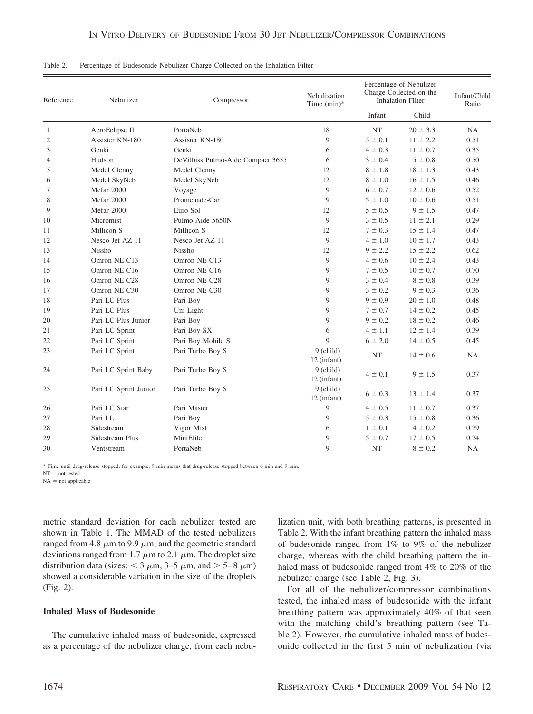| Reference      | Nebulizer             | Compressor                        | Nebulization<br>Time $(min)*$ | Percentage of Nebulizer<br>Charge Collected on the<br><b>Inhalation Filter</b> |              | Infant/Child<br>Ratio |
|----------------|-----------------------|-----------------------------------|-------------------------------|--------------------------------------------------------------------------------|--------------|-----------------------|
|                |                       |                                   |                               | Infant                                                                         | Child        |                       |
| $\mathbf{1}$   | AeroEclipse II        | PortaNeb                          | 18                            | <b>NT</b>                                                                      | $20 \pm 3.3$ | NA                    |
| $\mathfrak{2}$ | Assister KN-180       | Assister KN-180                   | 9                             | $5 \pm 0.1$                                                                    | $11 \pm 2.2$ | 0.51                  |
| 3              | Genki                 | Genki                             | 6                             | $4 \pm 0.3$                                                                    | $11 \pm 0.7$ | 0.35                  |
| 4              | Hudson                | DeVilbiss Pulmo-Aide Compact 3655 | 6                             | $3 \pm 0.4$                                                                    | $5 \pm 0.8$  | 0.50                  |
| 5              | Medel Clenny          | Medel Clenny                      | 12                            | $8 \pm 1.8$                                                                    | $18 \pm 1.3$ | 0.43                  |
| 6              | Medel SkyNeb          | Medel SkyNeb                      | 12                            | $8 \pm 1.0$                                                                    | $16 \pm 1.5$ | 0.46                  |
| 7              | Mefar 2000            | Voyage                            | 9                             | $6 \pm 0.7$                                                                    | $12 \pm 0.6$ | 0.52                  |
| 8              | Mefar 2000            | Promenade-Car                     | 9                             | $5 \pm 1.0$                                                                    | $10 \pm 0.6$ | 0.51                  |
| 9              | Mefar 2000            | Euro Sol                          | 12                            | $5 \pm 0.5$                                                                    | $9 \pm 1.5$  | 0.47                  |
| 10             | Micromist             | Pulmo-Aide 5650N                  | 9                             | $3 \pm 0.5$                                                                    | $11 \pm 2.1$ | 0.29                  |
| 11             | Millicon S            | Millicon S                        | 12                            | $7 \pm 0.3$                                                                    | $15 \pm 1.4$ | 0.47                  |
| 12             | Nesco Jet AZ-11       | Nesco Jet AZ-11                   | 9                             | $4 \pm 1.0$                                                                    | $10 \pm 1.7$ | 0.43                  |
| 13             | Nissho                | Nissho                            | 12                            | $9 \pm 2.2$                                                                    | $15 \pm 2.2$ | 0.62                  |
| 14             | Omron NE-C13          | Omron NE-C13                      | 9                             | $4 \pm 0.6$                                                                    | $10 \pm 2.4$ | 0.43                  |
| 15             | Omron NE-C16          | Omron NE-C16                      | 9                             | $7 \pm 0.5$                                                                    | $10 \pm 0.7$ | 0.70                  |
| 16             | Omron NE-C28          | Omron NE-C28                      | 9                             | $3 \pm 0.4$                                                                    | $8 \pm 0.8$  | 0.39                  |
| 17             | Omron NE-C30          | Omron NE-C30                      | 9                             | $3 \pm 0.2$                                                                    | $9 \pm 0.3$  | 0.36                  |
| 18             | Pari LC Plus          | Pari Boy                          | 9                             | $9 \pm 0.9$                                                                    | $20 \pm 1.0$ | 0.48                  |
| 19             | Pari LC Plus          | Uni Light                         | 9                             | $7 \pm 0.7$                                                                    | $14 \pm 0.2$ | 0.45                  |
| 20             | Pari LC Plus Junior   | Pari Boy                          | 9                             | $9 \pm 0.2$                                                                    | $18 \pm 0.2$ | 0.46                  |
| 21             | Pari LC Sprint        | Pari Boy SX                       | 6                             | $4 \pm 1.1$                                                                    | $12 \pm 1.4$ | 0.39                  |
| 22             | Pari LC Sprint        | Pari Boy Mobile S                 | 9                             | $6 \pm 2.0$                                                                    | $14 \pm 0.5$ | 0.45                  |
| 23             | Pari LC Sprint        | Pari Turbo Boy S                  | 9 (child)<br>12 (infant)      | <b>NT</b>                                                                      | $14 \pm 0.6$ | NA                    |
| 24             | Pari LC Sprint Baby   | Pari Turbo Boy S                  | $9$ (child)<br>12 (infant)    | $4 \pm 0.1$                                                                    | $9 \pm 1.5$  | 0.37                  |
| 25             | Pari LC Sprint Junior | Pari Turbo Boy S                  | $9$ (child)<br>12 (infant)    | $6 \pm 0.3$                                                                    | $13 \pm 1.4$ | 0.37                  |
| 26             | Pari LC Star          | Pari Master                       | 9                             | $4 \pm 0.5$                                                                    | $11 \pm 0.7$ | 0.37                  |
| 27             | Pari LL               | Pari Boy                          | 9                             | $5 \pm 0.3$                                                                    | $15 \pm 0.8$ | 0.36                  |
| 28             | Sidestream            | Vigor Mist                        | 6                             | $1 \pm 0.1$                                                                    | $4 \pm 0.2$  | 0.29                  |
| 29             | Sidestream Plus       | MiniElite                         | 9                             | $5 \pm 0.7$                                                                    | $17 \pm 0.5$ | 0.24                  |
| 30             | Ventstream            | PortaNeb                          | 9                             | <b>NT</b>                                                                      | $8 \pm 0.2$  | <b>NA</b>             |

Table 2. Percentage of Budesonide Nebulizer Charge Collected on the Inhalation Filter

\* Time until drug-release stopped; for example, 9 min means that drug-release stopped between 6 min and 9 min.

 $NT = not tested$ 

 $NA = not applicable$ 

metric standard deviation for each nebulizer tested are shown in Table 1. The MMAD of the tested nebulizers ranged from 4.8  $\mu$ m to 9.9  $\mu$ m, and the geometric standard deviations ranged from 1.7  $\mu$ m to 2.1  $\mu$ m. The droplet size distribution data (sizes:  $\leq 3 \mu$ m, 3–5  $\mu$ m, and  $>$  5–8  $\mu$ m) showed a considerable variation in the size of the droplets (Fig. 2).

# **Inhaled Mass of Budesonide**

The cumulative inhaled mass of budesonide, expressed as a percentage of the nebulizer charge, from each nebulization unit, with both breathing patterns, is presented in Table 2. With the infant breathing pattern the inhaled mass of budesonide ranged from 1% to 9% of the nebulizer charge, whereas with the child breathing pattern the inhaled mass of budesonide ranged from 4% to 20% of the nebulizer charge (see Table 2, Fig. 3).

For all of the nebulizer/compressor combinations tested, the inhaled mass of budesonide with the infant breathing pattern was approximately 40% of that seen with the matching child's breathing pattern (see Table 2). However, the cumulative inhaled mass of budesonide collected in the first 5 min of nebulization (via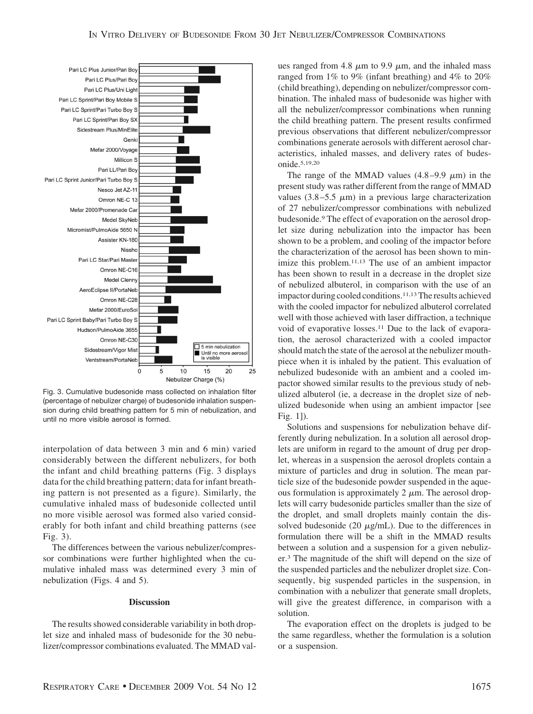

Fig. 3. Cumulative budesonide mass collected on inhalation filter (percentage of nebulizer charge) of budesonide inhalation suspension during child breathing pattern for 5 min of nebulization, and until no more visible aerosol is formed.

interpolation of data between 3 min and 6 min) varied considerably between the different nebulizers, for both the infant and child breathing patterns (Fig. 3 displays data for the child breathing pattern; data for infant breathing pattern is not presented as a figure). Similarly, the cumulative inhaled mass of budesonide collected until no more visible aerosol was formed also varied considerably for both infant and child breathing patterns (see Fig. 3).

The differences between the various nebulizer/compressor combinations were further highlighted when the cumulative inhaled mass was determined every 3 min of nebulization (Figs. 4 and 5).

# **Discussion**

The results showed considerable variability in both droplet size and inhaled mass of budesonide for the 30 nebulizer/compressor combinations evaluated. The MMAD val-

ues ranged from 4.8  $\mu$ m to 9.9  $\mu$ m, and the inhaled mass ranged from 1% to 9% (infant breathing) and 4% to 20% (child breathing), depending on nebulizer/compressor combination. The inhaled mass of budesonide was higher with all the nebulizer/compressor combinations when running the child breathing pattern. The present results confirmed previous observations that different nebulizer/compressor combinations generate aerosols with different aerosol characteristics, inhaled masses, and delivery rates of budesonide.5,19,20

The range of the MMAD values  $(4.8-9.9 \mu m)$  in the present study was rather different from the range of MMAD values (3.8–5.5  $\mu$ m) in a previous large characterization of 27 nebulizer/compressor combinations with nebulized budesonide.9 The effect of evaporation on the aerosol droplet size during nebulization into the impactor has been shown to be a problem, and cooling of the impactor before the characterization of the aerosol has been shown to minimize this problem.11,13 The use of an ambient impactor has been shown to result in a decrease in the droplet size of nebulized albuterol, in comparison with the use of an impactor during cooled conditions.11,13The results achieved with the cooled impactor for nebulized albuterol correlated well with those achieved with laser diffraction, a technique void of evaporative losses.11 Due to the lack of evaporation, the aerosol characterized with a cooled impactor should match the state of the aerosol at the nebulizer mouthpiece when it is inhaled by the patient. This evaluation of nebulized budesonide with an ambient and a cooled impactor showed similar results to the previous study of nebulized albuterol (ie, a decrease in the droplet size of nebulized budesonide when using an ambient impactor [see Fig. 1]).

Solutions and suspensions for nebulization behave differently during nebulization. In a solution all aerosol droplets are uniform in regard to the amount of drug per droplet, whereas in a suspension the aerosol droplets contain a mixture of particles and drug in solution. The mean particle size of the budesonide powder suspended in the aqueous formulation is approximately  $2 \mu m$ . The aerosol droplets will carry budesonide particles smaller than the size of the droplet, and small droplets mainly contain the dissolved budesonide (20  $\mu$ g/mL). Due to the differences in formulation there will be a shift in the MMAD results between a solution and a suspension for a given nebulizer.3 The magnitude of the shift will depend on the size of the suspended particles and the nebulizer droplet size. Consequently, big suspended particles in the suspension, in combination with a nebulizer that generate small droplets, will give the greatest difference, in comparison with a solution.

The evaporation effect on the droplets is judged to be the same regardless, whether the formulation is a solution or a suspension.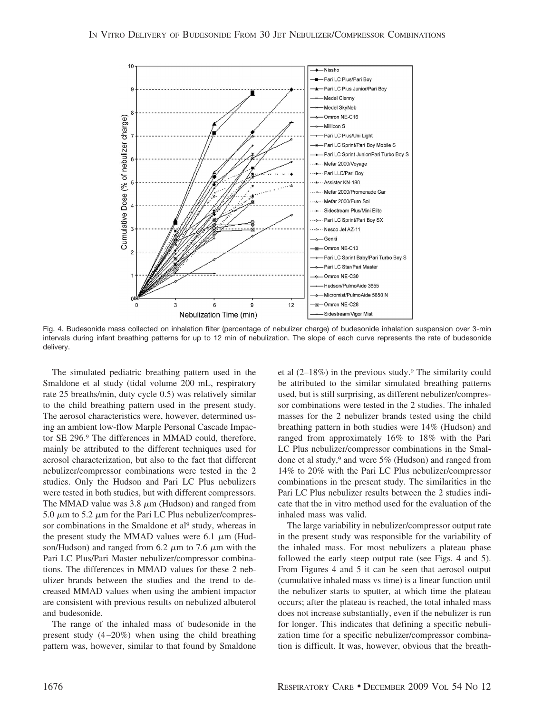

Fig. 4. Budesonide mass collected on inhalation filter (percentage of nebulizer charge) of budesonide inhalation suspension over 3-min intervals during infant breathing patterns for up to 12 min of nebulization. The slope of each curve represents the rate of budesonide delivery.

The simulated pediatric breathing pattern used in the Smaldone et al study (tidal volume 200 mL, respiratory rate 25 breaths/min, duty cycle 0.5) was relatively similar to the child breathing pattern used in the present study. The aerosol characteristics were, however, determined using an ambient low-flow Marple Personal Cascade Impactor SE 296.9 The differences in MMAD could, therefore, mainly be attributed to the different techniques used for aerosol characterization, but also to the fact that different nebulizer/compressor combinations were tested in the 2 studies. Only the Hudson and Pari LC Plus nebulizers were tested in both studies, but with different compressors. The MMAD value was  $3.8 \mu m$  (Hudson) and ranged from 5.0  $\mu$ m to 5.2  $\mu$ m for the Pari LC Plus nebulizer/compressor combinations in the Smaldone et al<sup>9</sup> study, whereas in the present study the MMAD values were 6.1  $\mu$ m (Hudson/Hudson) and ranged from 6.2  $\mu$ m to 7.6  $\mu$ m with the Pari LC Plus/Pari Master nebulizer/compressor combinations. The differences in MMAD values for these 2 nebulizer brands between the studies and the trend to decreased MMAD values when using the ambient impactor are consistent with previous results on nebulized albuterol and budesonide.

The range of the inhaled mass of budesonide in the present study  $(4-20\%)$  when using the child breathing pattern was, however, similar to that found by Smaldone et al  $(2-18\%)$  in the previous study.<sup>9</sup> The similarity could be attributed to the similar simulated breathing patterns used, but is still surprising, as different nebulizer/compressor combinations were tested in the 2 studies. The inhaled masses for the 2 nebulizer brands tested using the child breathing pattern in both studies were 14% (Hudson) and ranged from approximately 16% to 18% with the Pari LC Plus nebulizer/compressor combinations in the Smaldone et al study,9 and were 5% (Hudson) and ranged from 14% to 20% with the Pari LC Plus nebulizer/compressor combinations in the present study. The similarities in the Pari LC Plus nebulizer results between the 2 studies indicate that the in vitro method used for the evaluation of the inhaled mass was valid.

The large variability in nebulizer/compressor output rate in the present study was responsible for the variability of the inhaled mass. For most nebulizers a plateau phase followed the early steep output rate (see Figs. 4 and 5). From Figures 4 and 5 it can be seen that aerosol output (cumulative inhaled mass vs time) is a linear function until the nebulizer starts to sputter, at which time the plateau occurs; after the plateau is reached, the total inhaled mass does not increase substantially, even if the nebulizer is run for longer. This indicates that defining a specific nebulization time for a specific nebulizer/compressor combination is difficult. It was, however, obvious that the breath-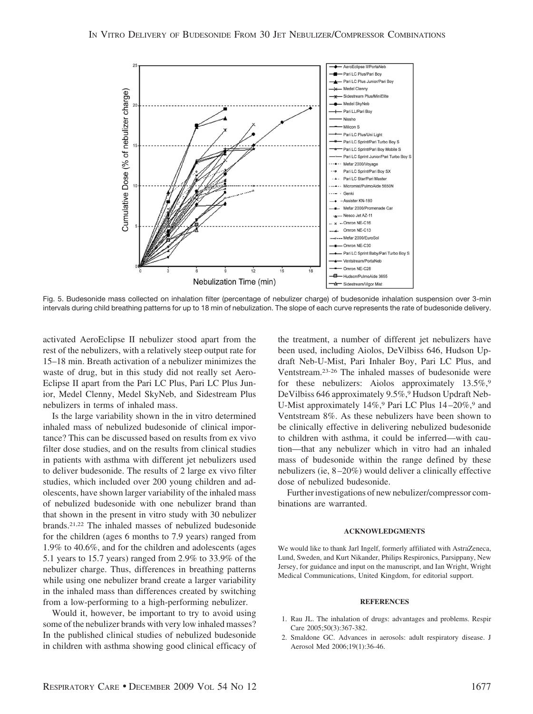

Fig. 5. Budesonide mass collected on inhalation filter (percentage of nebulizer charge) of budesonide inhalation suspension over 3-min intervals during child breathing patterns for up to 18 min of nebulization. The slope of each curve represents the rate of budesonide delivery.

activated AeroEclipse II nebulizer stood apart from the rest of the nebulizers, with a relatively steep output rate for 15–18 min. Breath activation of a nebulizer minimizes the waste of drug, but in this study did not really set Aero-Eclipse II apart from the Pari LC Plus, Pari LC Plus Junior, Medel Clenny, Medel SkyNeb, and Sidestream Plus nebulizers in terms of inhaled mass.

Is the large variability shown in the in vitro determined inhaled mass of nebulized budesonide of clinical importance? This can be discussed based on results from ex vivo filter dose studies, and on the results from clinical studies in patients with asthma with different jet nebulizers used to deliver budesonide. The results of 2 large ex vivo filter studies, which included over 200 young children and adolescents, have shown larger variability of the inhaled mass of nebulized budesonide with one nebulizer brand than that shown in the present in vitro study with 30 nebulizer brands.21,22 The inhaled masses of nebulized budesonide for the children (ages 6 months to 7.9 years) ranged from 1.9% to 40.6%, and for the children and adolescents (ages 5.1 years to 15.7 years) ranged from 2.9% to 33.9% of the nebulizer charge. Thus, differences in breathing patterns while using one nebulizer brand create a larger variability in the inhaled mass than differences created by switching from a low-performing to a high-performing nebulizer.

Would it, however, be important to try to avoid using some of the nebulizer brands with very low inhaled masses? In the published clinical studies of nebulized budesonide in children with asthma showing good clinical efficacy of

the treatment, a number of different jet nebulizers have been used, including Aiolos, DeVilbiss 646, Hudson Updraft Neb-U-Mist, Pari Inhaler Boy, Pari LC Plus, and Ventstream.23-26 The inhaled masses of budesonide were for these nebulizers: Aiolos approximately  $13.5\%,$ <sup>9</sup> DeVilbiss 646 approximately 9.5%,<sup>9</sup> Hudson Updraft Neb-U-Mist approximately 14%,<sup>9</sup> Pari LC Plus 14-20%,<sup>9</sup> and Ventstream 8%. As these nebulizers have been shown to be clinically effective in delivering nebulized budesonide to children with asthma, it could be inferred—with caution—that any nebulizer which in vitro had an inhaled mass of budesonide within the range defined by these nebulizers (ie, 8 –20%) would deliver a clinically effective dose of nebulized budesonide.

Further investigations of new nebulizer/compressor combinations are warranted.

#### **ACKNOWLEDGMENTS**

We would like to thank Jarl Ingelf, formerly affiliated with AstraZeneca, Lund, Sweden, and Kurt Nikander, Philips Respironics, Parsippany, New Jersey, for guidance and input on the manuscript, and Ian Wright, Wright Medical Communications, United Kingdom, for editorial support.

#### **REFERENCES**

- 1. Rau JL. The inhalation of drugs: advantages and problems. Respir Care 2005;50(3):367-382.
- 2. Smaldone GC. Advances in aerosols: adult respiratory disease. J Aerosol Med 2006;19(1):36-46.